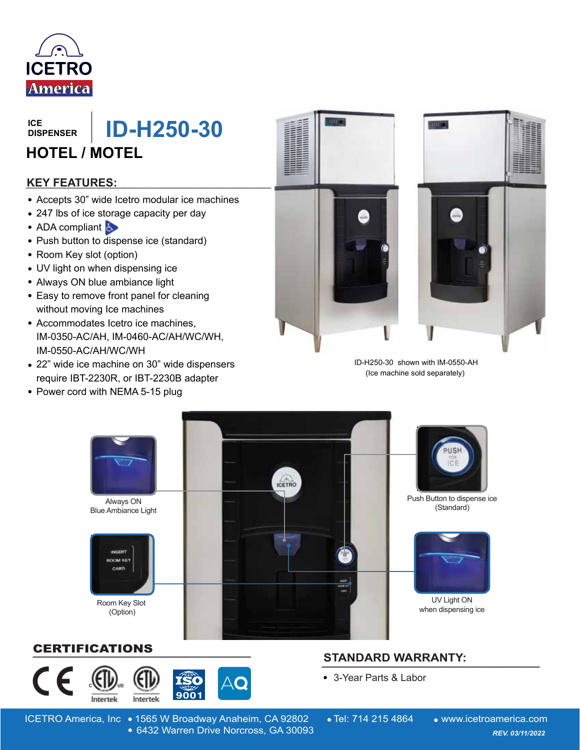

**DISPENSER**

## **ID-H250-30 HOTEL / MOTEL**

#### **\_\_\_\_\_\_\_\_\_\_\_\_\_\_\_\_\_\_\_\_\_\_\_\_\_\_\_\_\_\_ KEY FEATURES:**

- Accepts 30" wide Icetro modular ice machines
- 247 lbs of ice storage capacity per day
- ADA compliant
- Push button to dispense ice (standard)
- Room Key slot (option)
- UV light on when dispensing ice
- Always ON blue ambiance light
- Easy to remove front panel for cleaning without moving Ice machines
- Accommodates Icetro ice machines, IM-0350-AC/AH, IM-0460-AC/AH/WC/WH, IM-0550-AC/AH/WC/WH
- 22" wide ice machine on 30" wide dispensers require IBT-2230R, or IBT-2230B adapter
- Power cord with NEMA 5-15 plug





 ID-H250-30 shown with IM-0550-AH (Ice machine sold separately)



#### **\_\_\_\_\_\_\_\_\_\_\_\_\_\_\_\_\_\_\_\_\_\_\_\_\_\_\_\_\_\_\_\_\_\_\_\_\_\_\_\_** CERTIFICATIONS



### **STANDARD WARRANTY: \_\_\_\_\_\_\_\_\_\_\_\_\_\_\_\_\_\_\_\_\_\_\_\_\_\_\_\_\_\_\_\_\_\_\_\_\_\_\_\_**

3-Year Parts & Labor

ICETRO America, Inc • 1565 W Broadway Anaheim, CA 92802 • Tel: 714 215 4864 • www.icetroamerica.com 6432 Warren Drive Norcross, GA 30093 *REV. 01/01/2022* 6432 Warren Drive Norcross, GA 30093 *REV. 03/11/2022*